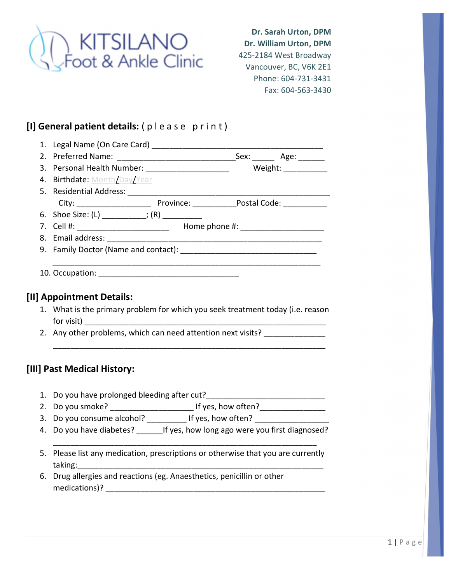

Dr. Sarah Urton, DPM Dr. William Urton, DPM 425-2184 West Broadway Vancouver, BC, V6K 2E1 Phone: 604-731-3431 Fax: 604-563-3430

## [I] General patient details: (please print)

| 1. Legal Name (On Care Card) |      |      |
|------------------------------|------|------|
| 2. Preferred Name:           | Sex: | Age: |

| 3. Personal Health Number: | Weight: |
|----------------------------|---------|
|                            |         |

- 4. Birthdate: Month/Day/Year 5. Residential Address: \_\_\_\_\_\_\_\_\_\_\_\_\_\_\_\_\_\_\_\_\_\_\_\_\_\_\_\_\_\_\_\_\_\_\_\_\_\_\_\_\_\_\_\_\_\_ City: \_\_\_\_\_\_\_\_\_\_\_\_\_\_\_\_\_ Province: \_\_\_\_\_\_\_\_\_\_Postal Code: \_\_\_\_\_\_\_\_\_\_ 6. Shoe Size:  $(L)$   $;$   $(R)$
- 7. Cell #: \_\_\_\_\_\_\_\_\_\_\_\_\_\_\_\_\_\_\_\_\_ Home phone #: \_\_\_\_\_\_\_\_\_\_\_\_\_\_\_\_\_\_\_
- 8. Email address:
- 9. Family Doctor (Name and contact):
- 10. Occupation: **with a set of the set of the set of the set of the set of the set of the set of the set of the set of the set of the set of the set of the set of the set of the set of the set of the set of the set of the**

## [II] Appointment Details:

1. What is the primary problem for which you seek treatment today (i.e. reason for visit)  $\Box$ 

\_\_\_\_\_\_\_\_\_\_\_\_\_\_\_\_\_\_\_\_\_\_\_\_\_\_\_\_\_\_\_\_\_\_\_\_\_\_\_\_\_\_\_\_\_\_\_\_\_\_\_\_\_\_\_\_\_\_\_\_\_\_

 $\overline{\phantom{a}}$  , and the contract of the contract of the contract of the contract of the contract of the contract of the contract of the contract of the contract of the contract of the contract of the contract of the contrac

2. Any other problems, which can need attention next visits?

## [III] Past Medical History:

- 1. Do you have prolonged bleeding after cut?\_\_\_\_\_\_\_\_\_\_\_\_\_\_\_\_\_\_\_\_\_\_\_\_\_\_\_
- 2. Do you smoke? \_\_\_\_\_\_\_\_\_\_\_\_\_\_\_\_\_\_\_ If yes, how often?\_\_\_\_\_\_\_\_\_\_\_\_\_\_\_
- 3. Do you consume alcohol? \_\_\_\_\_\_\_\_\_\_ If yes, how often?
- 4. Do you have diabetes? \_\_\_\_\_\_\_\_\_If yes, how long ago were you first diagnosed? \_\_\_\_\_\_\_\_\_\_\_\_\_\_\_\_\_\_\_\_\_\_\_\_\_\_\_\_\_\_\_\_\_\_\_\_\_\_\_\_\_\_\_\_\_\_\_\_\_\_\_\_\_\_\_\_\_\_\_\_
- 5. Please list any medication, prescriptions or otherwise that you are currently taking:
- 6. Drug allergies and reactions (eg. Anaesthetics, penicillin or other medications)? \_\_\_\_\_\_\_\_\_\_\_\_\_\_\_\_\_\_\_\_\_\_\_\_\_\_\_\_\_\_\_\_\_\_\_\_\_\_\_\_\_\_\_\_\_\_\_\_\_\_